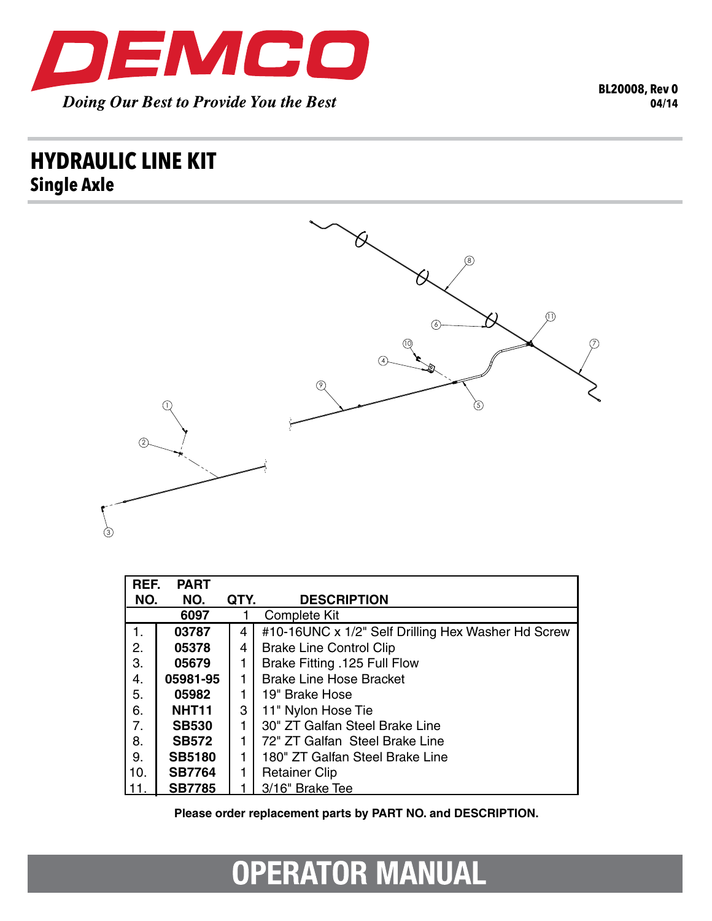

## **HYDRAULIC LINE KIT Single Axle**



| REF. | <b>PART</b>       |      |                                                    |
|------|-------------------|------|----------------------------------------------------|
| NO.  | NO.               | QTY. | <b>DESCRIPTION</b>                                 |
|      | 6097              |      | Complete Kit                                       |
| 1.   | 03787             | 4    | #10-16UNC x 1/2" Self Drilling Hex Washer Hd Screw |
| 2.   | 05378             | 4    | <b>Brake Line Control Clip</b>                     |
| 3.   | 05679             |      | Brake Fitting .125 Full Flow                       |
| 4.   | 05981-95          |      | <b>Brake Line Hose Bracket</b>                     |
| 5.   | 05982             |      | 19" Brake Hose                                     |
| 6.   | NHT <sub>11</sub> | 3    | 11" Nylon Hose Tie                                 |
| 7.   | <b>SB530</b>      |      | 30" ZT Galfan Steel Brake Line                     |
| 8.   | <b>SB572</b>      | 1    | 72" ZT Galfan Steel Brake Line                     |
| 9.   | <b>SB5180</b>     |      | 180" ZT Galfan Steel Brake Line                    |
| 10.  | <b>SB7764</b>     |      | <b>Retainer Clip</b>                               |
|      | <b>SB7785</b>     |      | 3/16" Brake Tee                                    |

Please order replacement parts by PART NO. and DESCRIPTION.

## **OPERATOR MANUAL**